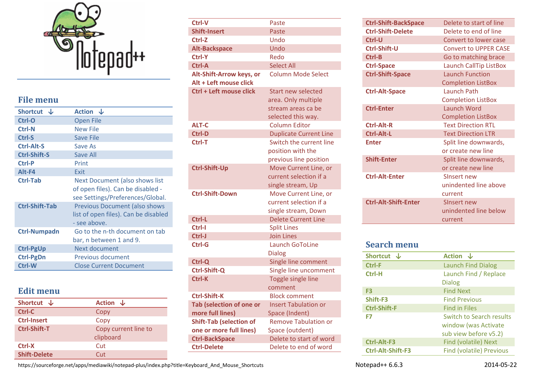

# **File menu**

| Shortcut J            | Action J                                                                                                |
|-----------------------|---------------------------------------------------------------------------------------------------------|
| Ctrl-O                | <b>Open File</b>                                                                                        |
| Ctrl-N                | <b>New File</b>                                                                                         |
| Ctrl-S                | <b>Save File</b>                                                                                        |
| Ctrl-Alt-S            | Save As                                                                                                 |
| <b>Ctrl-Shift-S</b>   | Save All                                                                                                |
| Ctrl-P                | Print                                                                                                   |
| Alt-F4                | Exit                                                                                                    |
| <b>Ctrl-Tab</b>       | Next Document (also shows list<br>of open files). Can be disabled -<br>see Settings/Preferences/Global. |
| <b>Ctrl-Shift-Tab</b> | <b>Previous Document (also shows</b><br>list of open files). Can be disabled<br>- see above.            |
| <b>Ctrl-Numpadn</b>   | Go to the n-th document on tab<br>bar, n between 1 and 9.                                               |
| <b>Ctrl-PgUp</b>      | Next document                                                                                           |
| <b>Ctrl-PgDn</b>      | <b>Previous document</b>                                                                                |
| Ctrl-W                | <b>Close Current Document</b>                                                                           |
|                       |                                                                                                         |

# **Edit menu**

| Shortcut $\downarrow$ | Action J             |
|-----------------------|----------------------|
| Ctrl-C                | Copy                 |
| <b>Ctrl-Insert</b>    | Copy                 |
| <b>Ctrl-Shift-T</b>   | Copy current line to |
|                       | clipboard            |
| Ctrl-X                | Cut                  |
| <b>Shift-Delete</b>   | Cut                  |

| Ctrl-V                         | Paste                         |
|--------------------------------|-------------------------------|
| <b>Shift-Insert</b>            | Paste                         |
| Ctrl-Z                         | Undo                          |
| <b>Alt-Backspace</b>           | Undo                          |
| Ctrl-Y                         | Redo                          |
| Ctrl-A                         | <b>Select All</b>             |
| Alt-Shift-Arrow keys, or       | <b>Column Mode Select</b>     |
| Alt + Left mouse click         |                               |
| Ctrl + Left mouse click        | <b>Start new selected</b>     |
|                                | area. Only multiple           |
|                                | stream areas ca be            |
|                                | selected this way.            |
| <b>ALT-C</b>                   | <b>Column Editor</b>          |
| <b>Ctrl-D</b>                  | <b>Duplicate Current Line</b> |
| Ctrl-T                         | Switch the current line       |
|                                | position with the             |
|                                | previous line position        |
| <b>Ctrl-Shift-Up</b>           | Move Current Line, or         |
|                                | current selection if a        |
|                                | single stream, Up             |
| <b>Ctrl-Shift-Down</b>         | Move Current Line, or         |
|                                | current selection if a        |
|                                | single stream, Down           |
| Ctrl-L                         | <b>Delete Current Line</b>    |
| Ctrl-I                         | <b>Split Lines</b>            |
| Ctrl-J                         | <b>Join Lines</b>             |
| Ctrl-G                         | <b>Launch GoToLine</b>        |
|                                | <b>Dialog</b>                 |
| Ctrl-Q                         | Single line comment           |
| Ctrl-Shift-Q                   | Single line uncomment         |
| Ctrl-K                         | <b>Toggle single line</b>     |
|                                | comment                       |
| <b>Ctrl-Shift-K</b>            | <b>Block comment</b>          |
| Tab (selection of one or       | <b>Insert Tabulation or</b>   |
| more full lines)               | Space (Indent)                |
| <b>Shift-Tab (selection of</b> | <b>Remove Tabulation or</b>   |
| one or more full lines)        | Space (outdent)               |
| <b>Ctrl-BackSpace</b>          | Delete to start of word       |
| <b>Ctrl-Delete</b>             | Delete to end of word         |

| <b>Ctrl-Shift-BackSpace</b> | Delete to start of line       |
|-----------------------------|-------------------------------|
| <b>Ctrl-Shift-Delete</b>    | Delete to end of line         |
| Ctrl-U                      | Convert to lower case         |
| Ctrl-Shift-U                | <b>Convert to UPPER CASE</b>  |
| Ctrl-B                      | Go to matching brace          |
| <b>Ctrl-Space</b>           | <b>Launch CallTip ListBox</b> |
| <b>Ctrl-Shift-Space</b>     | <b>Launch Function</b>        |
|                             | <b>Completion ListBox</b>     |
| <b>Ctrl-Alt-Space</b>       | Launch Path                   |
|                             | <b>Completion ListBox</b>     |
| <b>Ctrl-Enter</b>           | Launch Word                   |
|                             | <b>Completion ListBox</b>     |
| <b>Ctrl-Alt-R</b>           | <b>Text Direction RTL</b>     |
| Ctrl-Alt-L                  | <b>Text Direction LTR</b>     |
| <b>Enter</b>                | Split line downwards,         |
|                             | or create new line            |
| <b>Shift-Enter</b>          | Split line downwards,         |
|                             | or create new line            |
| <b>Ctrl-Alt-Enter</b>       | Sinsert new                   |
|                             | unindented line above         |
|                             | current                       |
| <b>Ctrl-Alt-Shift-Enter</b> | Sinsert new                   |
|                             | unindented line below         |
|                             | current                       |

## **Search menu**

| <b>Shortcut</b>          | Action J                        |
|--------------------------|---------------------------------|
| Ctrl-F                   | <b>Launch Find Dialog</b>       |
| Ctrl-H                   | Launch Find / Replace           |
|                          | <b>Dialog</b>                   |
| F <sub>3</sub>           | <b>Find Next</b>                |
| Shift-F3                 | <b>Find Previous</b>            |
| <b>Ctrl-Shift-F</b>      | <b>Find in Files</b>            |
| F7                       | Switch to Search results        |
|                          | window (was Activate            |
|                          | sub view before v5.2)           |
| Ctrl-Alt-F3              | <b>Find (volatile) Next</b>     |
| <b>Ctrl-Alt-Shift-F3</b> | <b>Find (volatile) Previous</b> |

https://sourceforge.net/apps/mediawiki/notepad-plus/index.php?title=Keyboard\_And\_Mouse\_Shortcuts Notepad++ 6.6.3 2014-05-22